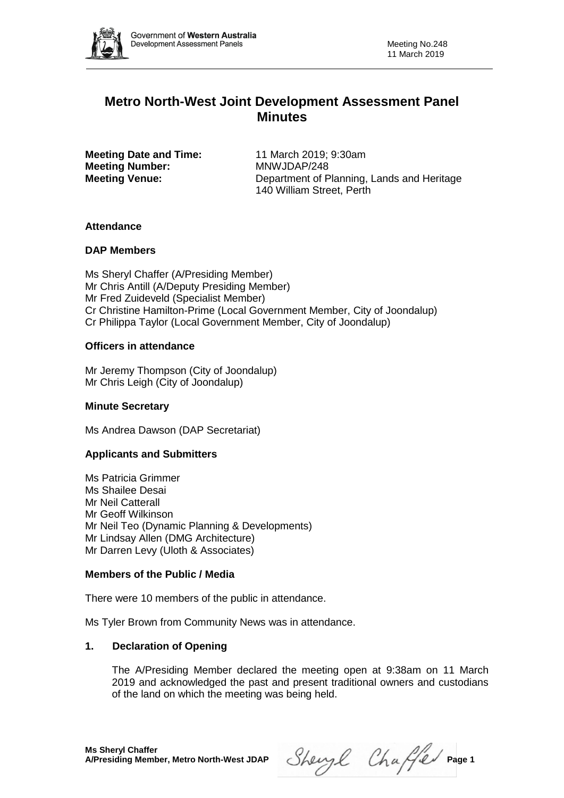

# **Metro North-West Joint Development Assessment Panel Minutes**

**Meeting Date and Time:** 11 March 2019; 9:30am **Meeting Number:** MNWJDAP/248

**Meeting Venue:** Department of Planning, Lands and Heritage 140 William Street, Perth

# **Attendance**

# **DAP Members**

Ms Sheryl Chaffer (A/Presiding Member) Mr Chris Antill (A/Deputy Presiding Member) Mr Fred Zuideveld (Specialist Member) Cr Christine Hamilton-Prime (Local Government Member, City of Joondalup) Cr Philippa Taylor (Local Government Member, City of Joondalup)

# **Officers in attendance**

Mr Jeremy Thompson (City of Joondalup) Mr Chris Leigh (City of Joondalup)

# **Minute Secretary**

Ms Andrea Dawson (DAP Secretariat)

# **Applicants and Submitters**

Ms Patricia Grimmer Ms Shailee Desai Mr Neil Catterall Mr Geoff Wilkinson Mr Neil Teo (Dynamic Planning & Developments) Mr Lindsay Allen (DMG Architecture) Mr Darren Levy (Uloth & Associates)

# **Members of the Public / Media**

There were 10 members of the public in attendance.

Ms Tyler Brown from Community News was in attendance.

# **1. Declaration of Opening**

The A/Presiding Member declared the meeting open at 9:38am on 11 March 2019 and acknowledged the past and present traditional owners and custodians of the land on which the meeting was being held.

 $Sheyl$  Chaffer Page 1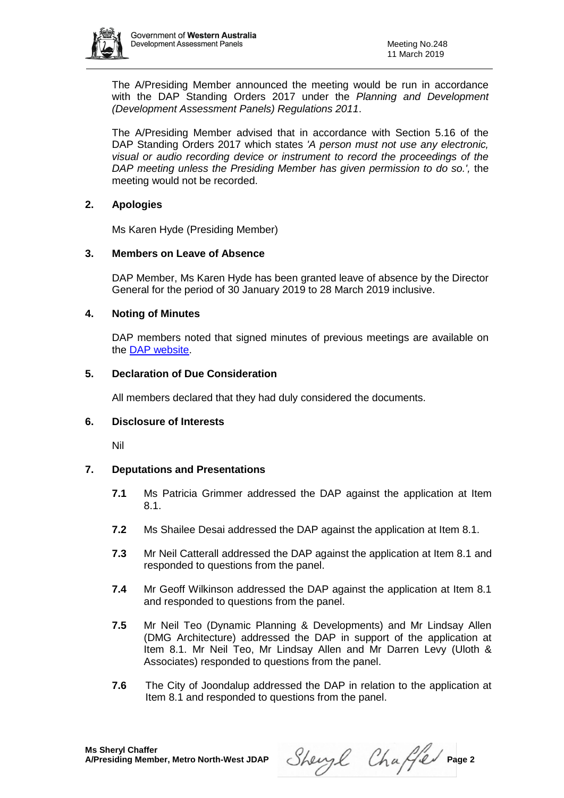

The A/Presiding Member announced the meeting would be run in accordance with the DAP Standing Orders 2017 under the *Planning and Development (Development Assessment Panels) Regulations 2011*.

The A/Presiding Member advised that in accordance with Section 5.16 of the DAP Standing Orders 2017 which states *'A person must not use any electronic, visual or audio recording device or instrument to record the proceedings of the DAP meeting unless the Presiding Member has given permission to do so.',* the meeting would not be recorded.

# **2. Apologies**

Ms Karen Hyde (Presiding Member)

# **3. Members on Leave of Absence**

DAP Member, Ms Karen Hyde has been granted leave of absence by the Director General for the period of 30 January 2019 to 28 March 2019 inclusive.

# **4. Noting of Minutes**

DAP members noted that signed minutes of previous meetings are available on the [DAP website.](https://www.dplh.wa.gov.au/about/development-assessment-panels/daps-agendas-and-minutes)

#### **5. Declaration of Due Consideration**

All members declared that they had duly considered the documents.

#### **6. Disclosure of Interests**

Nil

# **7. Deputations and Presentations**

- **7.1** Ms Patricia Grimmer addressed the DAP against the application at Item 8.1.
- **7.2** Ms Shailee Desai addressed the DAP against the application at Item 8.1.
- **7.3** Mr Neil Catterall addressed the DAP against the application at Item 8.1 and responded to questions from the panel.
- **7.4** Mr Geoff Wilkinson addressed the DAP against the application at Item 8.1 and responded to questions from the panel.
- **7.5** Mr Neil Teo (Dynamic Planning & Developments) and Mr Lindsay Allen (DMG Architecture) addressed the DAP in support of the application at Item 8.1. Mr Neil Teo, Mr Lindsay Allen and Mr Darren Levy (Uloth & Associates) responded to questions from the panel.
- **7.6** The City of Joondalup addressed the DAP in relation to the application at Item 8.1 and responded to questions from the panel.

Sheryl Chaffer Page 2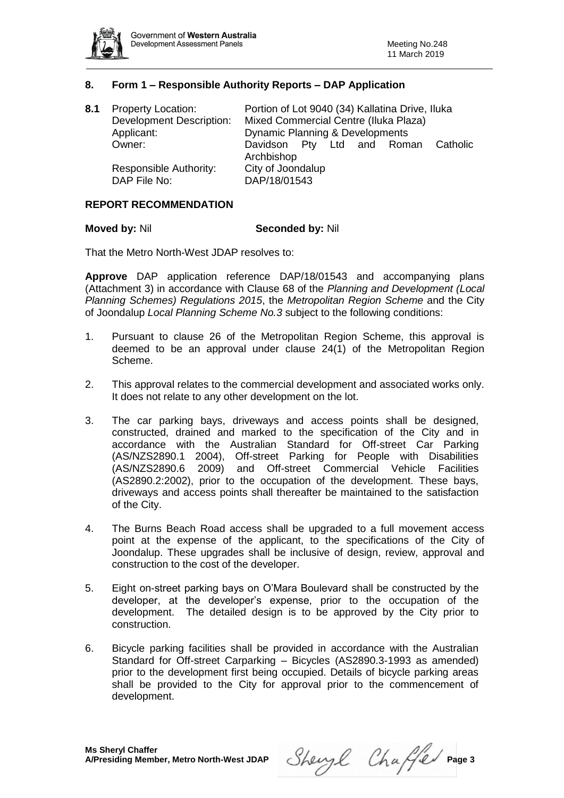

#### **8. Form 1 – Responsible Authority Reports – DAP Application**

| 8.1 | <b>Property Location:</b><br><b>Development Description:</b> | Portion of Lot 9040 (34) Kallatina Drive, Iluka<br>Mixed Commercial Centre (Iluka Plaza) |  |  |
|-----|--------------------------------------------------------------|------------------------------------------------------------------------------------------|--|--|
|     | Applicant:                                                   | Dynamic Planning & Developments                                                          |  |  |
|     | Owner:                                                       | Davidson Pty Ltd and Roman Catholic<br>Archbishop                                        |  |  |
|     | Responsible Authority:<br>DAP File No:                       | City of Joondalup<br>DAP/18/01543                                                        |  |  |

#### **REPORT RECOMMENDATION**

#### **Moved by: Nil Seconded by: Nil Seconded by: Nil Seconded by: Nil Seconded by: Nil Seconded by: Nil Seconded by: Nil Seconded by: Nil Seconded by: Nil Seconded by: Nil Seconded by: Nil Seconded by: Nil Seconded by: Nil Sec**

That the Metro North-West JDAP resolves to:

**Approve** DAP application reference DAP/18/01543 and accompanying plans (Attachment 3) in accordance with Clause 68 of the *Planning and Development (Local Planning Schemes) Regulations 2015*, the *Metropolitan Region Scheme* and the City of Joondalup *Local Planning Scheme No.3* subject to the following conditions:

- 1. Pursuant to clause 26 of the Metropolitan Region Scheme, this approval is deemed to be an approval under clause 24(1) of the Metropolitan Region Scheme.
- 2. This approval relates to the commercial development and associated works only. It does not relate to any other development on the lot.
- 3. The car parking bays, driveways and access points shall be designed, constructed, drained and marked to the specification of the City and in accordance with the Australian Standard for Off-street Car Parking (AS/NZS2890.1 2004), Off-street Parking for People with Disabilities (AS/NZS2890.6 2009) and Off-street Commercial Vehicle Facilities (AS2890.2:2002), prior to the occupation of the development. These bays, driveways and access points shall thereafter be maintained to the satisfaction of the City.
- 4. The Burns Beach Road access shall be upgraded to a full movement access point at the expense of the applicant, to the specifications of the City of Joondalup. These upgrades shall be inclusive of design, review, approval and construction to the cost of the developer.
- 5. Eight on-street parking bays on O'Mara Boulevard shall be constructed by the developer, at the developer's expense, prior to the occupation of the development. The detailed design is to be approved by the City prior to construction.
- 6. Bicycle parking facilities shall be provided in accordance with the Australian Standard for Off-street Carparking – Bicycles (AS2890.3-1993 as amended) prior to the development first being occupied. Details of bicycle parking areas shall be provided to the City for approval prior to the commencement of development.

Sheryl Chaffer Page 3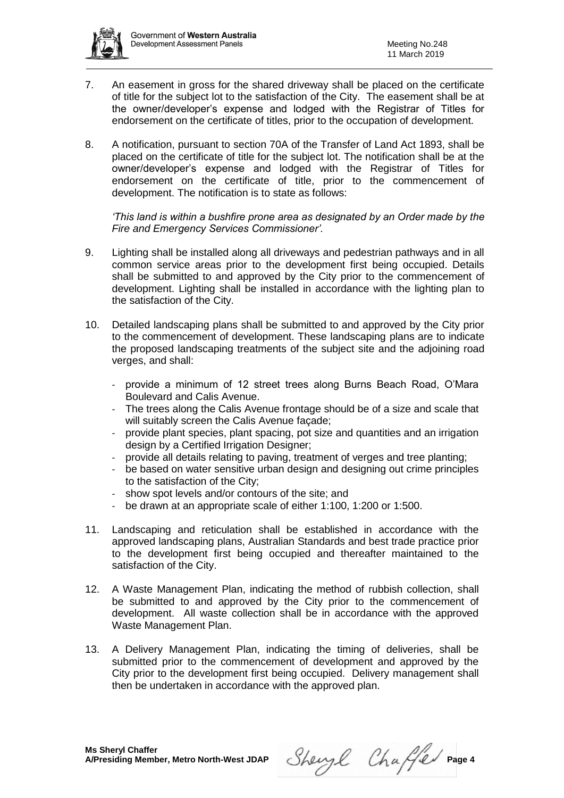

- 7. An easement in gross for the shared driveway shall be placed on the certificate of title for the subject lot to the satisfaction of the City. The easement shall be at the owner/developer's expense and lodged with the Registrar of Titles for endorsement on the certificate of titles, prior to the occupation of development.
- 8. A notification, pursuant to section 70A of the Transfer of Land Act 1893, shall be placed on the certificate of title for the subject lot. The notification shall be at the owner/developer's expense and lodged with the Registrar of Titles for endorsement on the certificate of title, prior to the commencement of development. The notification is to state as follows:

*'This land is within a bushfire prone area as designated by an Order made by the Fire and Emergency Services Commissioner'.*

- 9. Lighting shall be installed along all driveways and pedestrian pathways and in all common service areas prior to the development first being occupied. Details shall be submitted to and approved by the City prior to the commencement of development. Lighting shall be installed in accordance with the lighting plan to the satisfaction of the City.
- 10. Detailed landscaping plans shall be submitted to and approved by the City prior to the commencement of development. These landscaping plans are to indicate the proposed landscaping treatments of the subject site and the adjoining road verges, and shall:
	- provide a minimum of 12 street trees along Burns Beach Road, O'Mara Boulevard and Calis Avenue.
	- The trees along the Calis Avenue frontage should be of a size and scale that will suitably screen the Calis Avenue facade:
	- provide plant species, plant spacing, pot size and quantities and an irrigation design by a Certified Irrigation Designer;
	- provide all details relating to paving, treatment of verges and tree planting;
	- be based on water sensitive urban design and designing out crime principles to the satisfaction of the City;
	- show spot levels and/or contours of the site; and
	- be drawn at an appropriate scale of either 1:100, 1:200 or 1:500.
- 11. Landscaping and reticulation shall be established in accordance with the approved landscaping plans, Australian Standards and best trade practice prior to the development first being occupied and thereafter maintained to the satisfaction of the City.
- 12. A Waste Management Plan, indicating the method of rubbish collection, shall be submitted to and approved by the City prior to the commencement of development. All waste collection shall be in accordance with the approved Waste Management Plan.
- 13. A Delivery Management Plan, indicating the timing of deliveries, shall be submitted prior to the commencement of development and approved by the City prior to the development first being occupied. Delivery management shall then be undertaken in accordance with the approved plan.

Sheryl Chaffer Page 4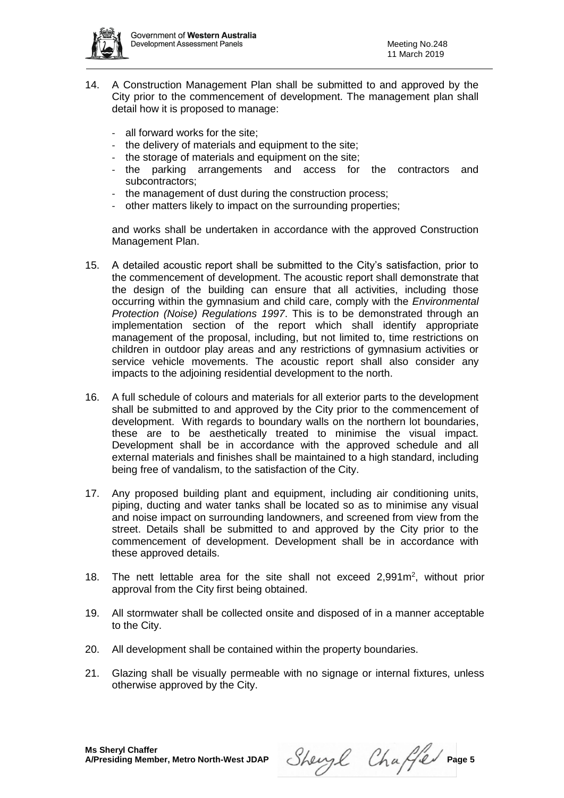

- 14. A Construction Management Plan shall be submitted to and approved by the City prior to the commencement of development. The management plan shall detail how it is proposed to manage:
	- all forward works for the site:
	- the delivery of materials and equipment to the site;
	- the storage of materials and equipment on the site;
	- the parking arrangements and access for the contractors and subcontractors;
	- the management of dust during the construction process;
	- other matters likely to impact on the surrounding properties;

and works shall be undertaken in accordance with the approved Construction Management Plan.

- 15. A detailed acoustic report shall be submitted to the City's satisfaction, prior to the commencement of development. The acoustic report shall demonstrate that the design of the building can ensure that all activities, including those occurring within the gymnasium and child care, comply with the *Environmental Protection (Noise) Regulations 1997*. This is to be demonstrated through an implementation section of the report which shall identify appropriate management of the proposal, including, but not limited to, time restrictions on children in outdoor play areas and any restrictions of gymnasium activities or service vehicle movements. The acoustic report shall also consider any impacts to the adjoining residential development to the north.
- 16. A full schedule of colours and materials for all exterior parts to the development shall be submitted to and approved by the City prior to the commencement of development. With regards to boundary walls on the northern lot boundaries, these are to be aesthetically treated to minimise the visual impact. Development shall be in accordance with the approved schedule and all external materials and finishes shall be maintained to a high standard, including being free of vandalism, to the satisfaction of the City.
- 17. Any proposed building plant and equipment, including air conditioning units, piping, ducting and water tanks shall be located so as to minimise any visual and noise impact on surrounding landowners, and screened from view from the street. Details shall be submitted to and approved by the City prior to the commencement of development. Development shall be in accordance with these approved details.
- 18. The nett lettable area for the site shall not exceed  $2,991\,\mathrm{m}^2$ , without prior approval from the City first being obtained.
- 19. All stormwater shall be collected onsite and disposed of in a manner acceptable to the City.
- 20. All development shall be contained within the property boundaries.
- 21. Glazing shall be visually permeable with no signage or internal fixtures, unless otherwise approved by the City.

Sheryl Chaffer Page 5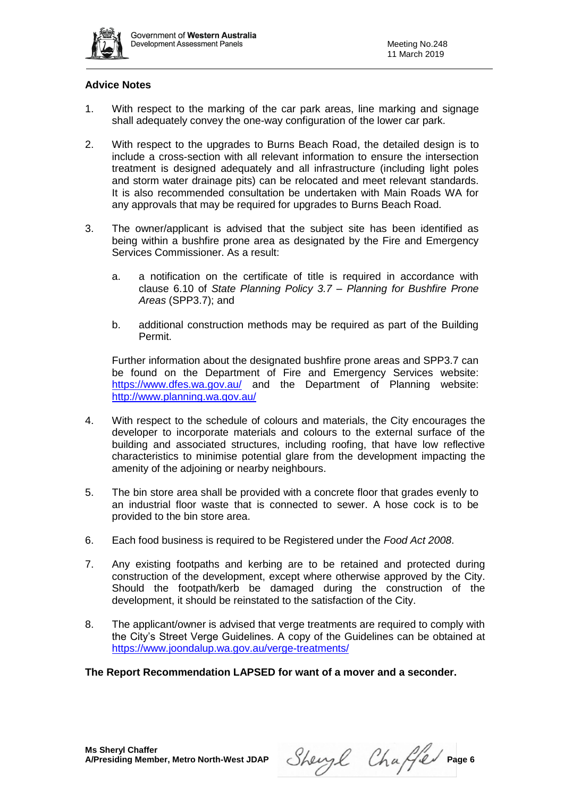

#### **Advice Notes**

- 1. With respect to the marking of the car park areas, line marking and signage shall adequately convey the one-way configuration of the lower car park.
- 2. With respect to the upgrades to Burns Beach Road, the detailed design is to include a cross-section with all relevant information to ensure the intersection treatment is designed adequately and all infrastructure (including light poles and storm water drainage pits) can be relocated and meet relevant standards. It is also recommended consultation be undertaken with Main Roads WA for any approvals that may be required for upgrades to Burns Beach Road.
- 3. The owner/applicant is advised that the subject site has been identified as being within a bushfire prone area as designated by the Fire and Emergency Services Commissioner. As a result:
	- a. a notification on the certificate of title is required in accordance with clause 6.10 of *State Planning Policy 3.7 – Planning for Bushfire Prone Areas* (SPP3.7); and
	- b. additional construction methods may be required as part of the Building Permit.

Further information about the designated bushfire prone areas and SPP3.7 can be found on the Department of Fire and Emergency Services website: <https://www.dfes.wa.gov.au/> and the Department of Planning website: <http://www.planning.wa.gov.au/>

- 4. With respect to the schedule of colours and materials, the City encourages the developer to incorporate materials and colours to the external surface of the building and associated structures, including roofing, that have low reflective characteristics to minimise potential glare from the development impacting the amenity of the adjoining or nearby neighbours.
- 5. The bin store area shall be provided with a concrete floor that grades evenly to an industrial floor waste that is connected to sewer. A hose cock is to be provided to the bin store area.
- 6. Each food business is required to be Registered under the *Food Act 2008*.
- 7. Any existing footpaths and kerbing are to be retained and protected during construction of the development, except where otherwise approved by the City. Should the footpath/kerb be damaged during the construction of the development, it should be reinstated to the satisfaction of the City.
- 8. The applicant/owner is advised that verge treatments are required to comply with the City's Street Verge Guidelines. A copy of the Guidelines can be obtained at <https://www.joondalup.wa.gov.au/verge-treatments/>

**The Report Recommendation LAPSED for want of a mover and a seconder.**

Sheryl Chaffer Page 6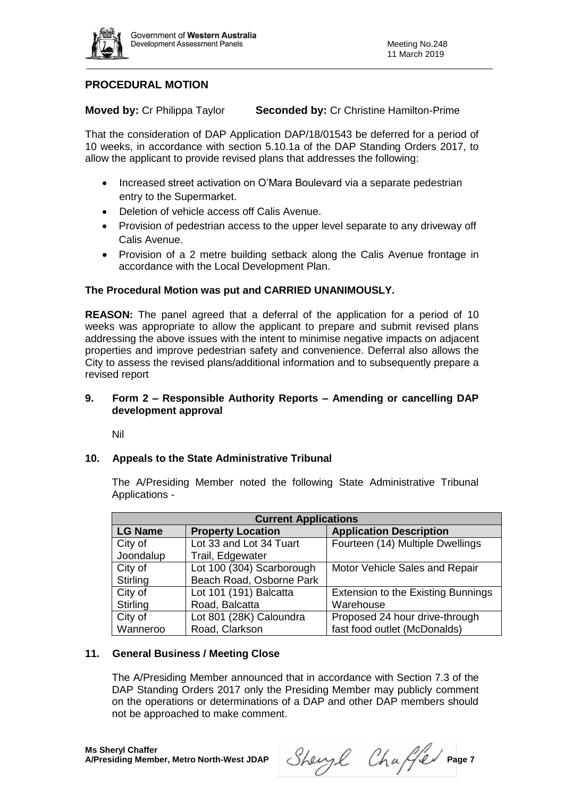

# **PROCEDURAL MOTION**

**Moved by:** Cr Philippa Taylor **Seconded by:** Cr Christine Hamilton-Prime

That the consideration of DAP Application DAP/18/01543 be deferred for a period of 10 weeks, in accordance with section 5.10.1a of the DAP Standing Orders 2017, to allow the applicant to provide revised plans that addresses the following:

- Increased street activation on O'Mara Boulevard via a separate pedestrian entry to the Supermarket.
- Deletion of vehicle access off Calis Avenue.
- Provision of pedestrian access to the upper level separate to any driveway off Calis Avenue.
- Provision of a 2 metre building setback along the Calis Avenue frontage in accordance with the Local Development Plan.

#### **The Procedural Motion was put and CARRIED UNANIMOUSLY.**

**REASON:** The panel agreed that a deferral of the application for a period of 10 weeks was appropriate to allow the applicant to prepare and submit revised plans addressing the above issues with the intent to minimise negative impacts on adjacent properties and improve pedestrian safety and convenience. Deferral also allows the City to assess the revised plans/additional information and to subsequently prepare a revised report

#### **9. Form 2 – Responsible Authority Reports – Amending or cancelling DAP development approval**

Nil

#### **10. Appeals to the State Administrative Tribunal**

The A/Presiding Member noted the following State Administrative Tribunal Applications -

| <b>Current Applications</b> |                           |                                           |  |
|-----------------------------|---------------------------|-------------------------------------------|--|
| <b>LG Name</b>              | <b>Property Location</b>  | <b>Application Description</b>            |  |
| City of                     | Lot 33 and Lot 34 Tuart   | Fourteen (14) Multiple Dwellings          |  |
| Joondalup                   | Trail, Edgewater          |                                           |  |
| City of                     | Lot 100 (304) Scarborough | Motor Vehicle Sales and Repair            |  |
| Stirling                    | Beach Road, Osborne Park  |                                           |  |
| City of                     | Lot 101 (191) Balcatta    | <b>Extension to the Existing Bunnings</b> |  |
| Stirling                    | Road, Balcatta            | Warehouse                                 |  |
| City of                     | Lot 801 (28K) Caloundra   | Proposed 24 hour drive-through            |  |
| Wanneroo                    | Road, Clarkson            | fast food outlet (McDonalds)              |  |

#### **11. General Business / Meeting Close**

The A/Presiding Member announced that in accordance with Section 7.3 of the DAP Standing Orders 2017 only the Presiding Member may publicly comment on the operations or determinations of a DAP and other DAP members should not be approached to make comment.

Sheryl Chaffer Page 7